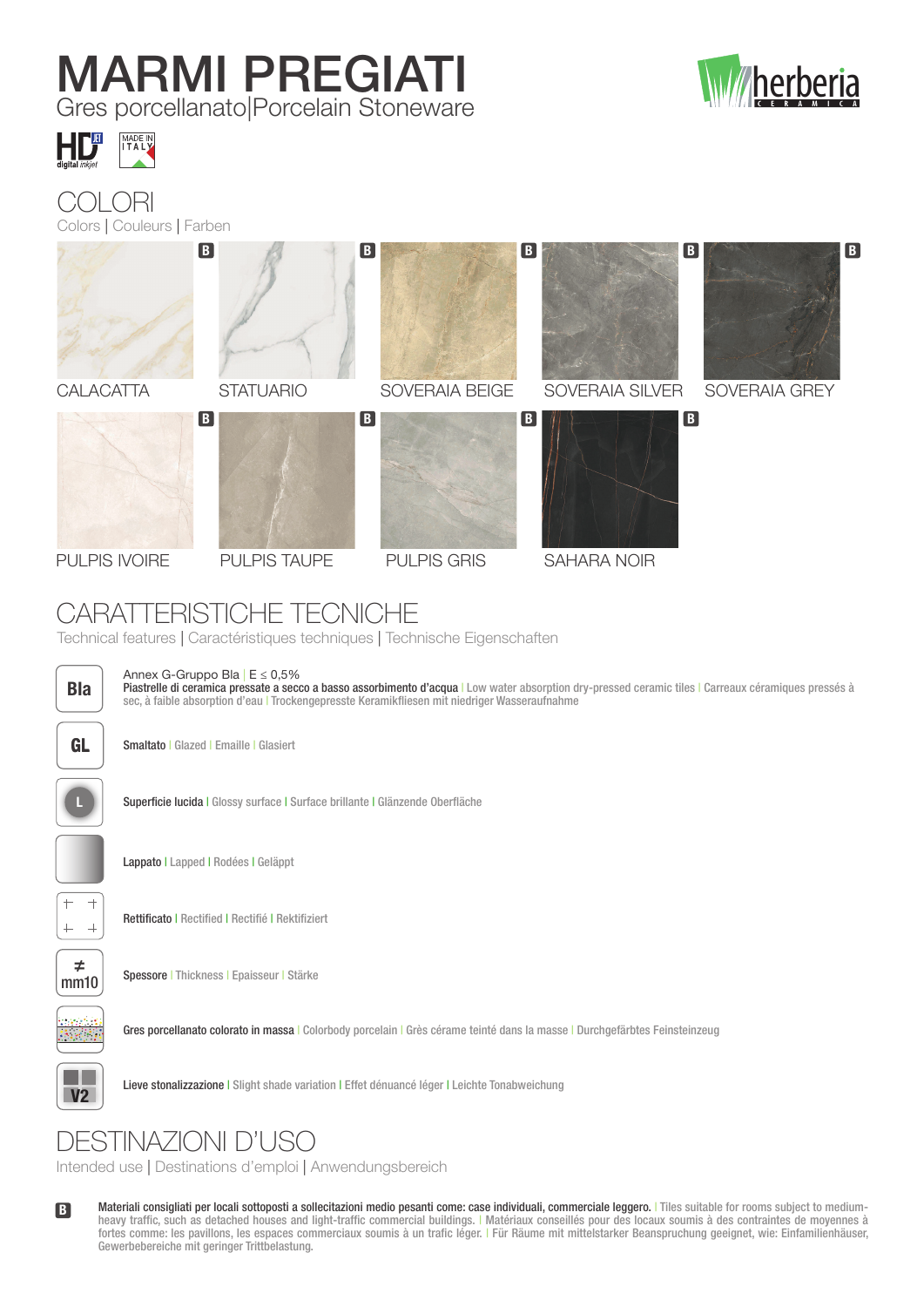# MARMI PREGIATI

Gres porcellanato|Porcelain Stoneware





#### **ORI** Colors | Couleurs | Farben



## CARATTERISTICHE TECNICHE

Technical features | Caractéristiques techniques | Technische Eigenschaften



Annex G-Gruppo Bla  $E \le 0.5\%$ 

Piastrelle di ceramica pressate a secco a basso assorbimento d'acqua | Low water absorption dry-pressed ceramic tiles | Carreaux céramiques pressés à sec, à faible absorption d'eau | Trockengepresste Keramikfliesen mit niedriger Wasseraufnahme



GL Smaltato | Glazed | Emaille | Glasiert



Superficie lucida | Glossy surface | Surface brillante | Glänzende Oberfläche



Lappato | Lapped | Rodées | Geläppt



Rettificato | Rectified | Rectifié | Rektifiziert



Spessore | Thickness | Epaisseur | Stärke



Gres porcellanato colorato in massa | Colorbody porcelain | Grès cérame teinté dans la masse | Durchgefärbtes Feinsteinzeug



V2 Lieve stonalizzazione | Slight shade variation | Effet dénuancé léger | Leichte Tonabweichung

## DESTINAZIONI D'USO

Intended use | Destinations d'emploi | Anwendungsbereich

B Materiali consigliati per locali sottoposti a sollecitazioni medio pesanti come: case individuali, commerciale leggero. | Tiles suitable for rooms subject to mediumheavy traffic, such as detached houses and light-traffic commercial buildings. | Matériaux conseillés pour des locaux soumis à des contraintes de moyennes à fortes comme: les pavillons, les espaces commerciaux soumis à un trafic léger. | Für Räume mit mittelstarker Beanspruchung geeignet, wie: Einfamilienhäuser, Gewerbebereiche mit geringer Trittbelastung.